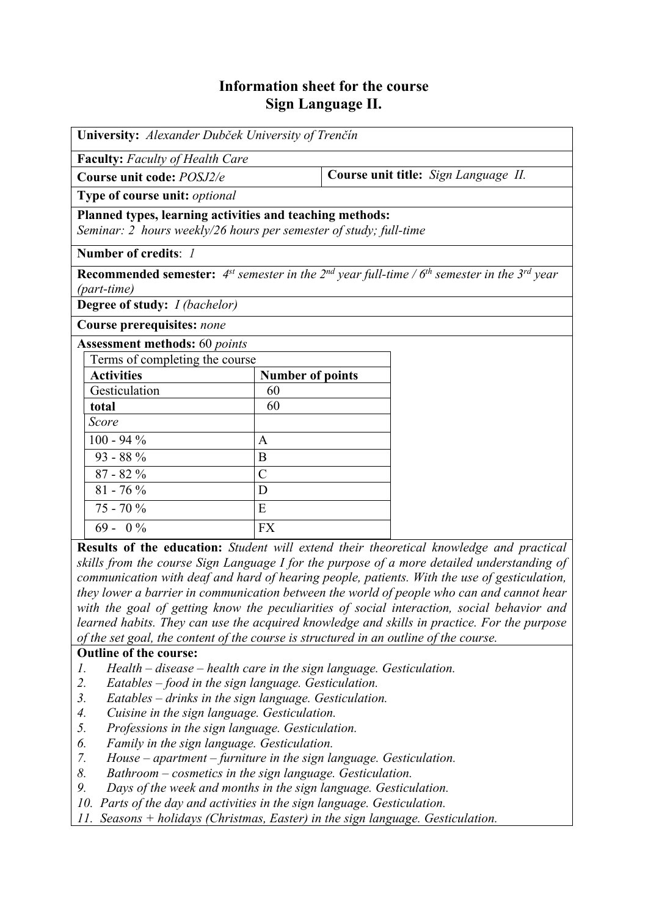## **Information sheet for the course Sign Language II.**

| University: Alexander Dubček University of Trenčín                                                                                                      |                         |                                      |  |  |  |  |  |
|---------------------------------------------------------------------------------------------------------------------------------------------------------|-------------------------|--------------------------------------|--|--|--|--|--|
| <b>Faculty:</b> Faculty of Health Care                                                                                                                  |                         |                                      |  |  |  |  |  |
| Course unit code: POSJ2/e                                                                                                                               |                         | Course unit title: Sign Language II. |  |  |  |  |  |
| Type of course unit: optional                                                                                                                           |                         |                                      |  |  |  |  |  |
| Planned types, learning activities and teaching methods:<br>Seminar: 2 hours weekly/26 hours per semester of study; full-time                           |                         |                                      |  |  |  |  |  |
| Number of credits: 1                                                                                                                                    |                         |                                      |  |  |  |  |  |
| <b>Recommended semester:</b> 4 <sup>st</sup> semester in the 2 <sup>nd</sup> year full-time / $6th$ semester in the 3 <sup>rd</sup> year<br>(part-time) |                         |                                      |  |  |  |  |  |
| <b>Degree of study:</b> <i>I (bachelor)</i>                                                                                                             |                         |                                      |  |  |  |  |  |
| <b>Course prerequisites: none</b>                                                                                                                       |                         |                                      |  |  |  |  |  |
| <b>Assessment methods:</b> 60 points                                                                                                                    |                         |                                      |  |  |  |  |  |
| Terms of completing the course                                                                                                                          |                         |                                      |  |  |  |  |  |
| <b>Activities</b>                                                                                                                                       | <b>Number of points</b> |                                      |  |  |  |  |  |
| Gesticulation                                                                                                                                           | 60                      |                                      |  |  |  |  |  |
| total                                                                                                                                                   | 60                      |                                      |  |  |  |  |  |
| Score                                                                                                                                                   |                         |                                      |  |  |  |  |  |
| $100 - 94\%$                                                                                                                                            | A                       |                                      |  |  |  |  |  |
| 93 - 88 %                                                                                                                                               | B                       |                                      |  |  |  |  |  |
| $87 - 82%$                                                                                                                                              | $\overline{\rm C}$      |                                      |  |  |  |  |  |
| $81 - 76\%$                                                                                                                                             | D                       |                                      |  |  |  |  |  |
| $75 - 70%$                                                                                                                                              | E                       |                                      |  |  |  |  |  |
| $69 - 0\%$                                                                                                                                              | <b>FX</b>               |                                      |  |  |  |  |  |

**Results of the education:** *Student will extend their theoretical knowledge and practical skills from the course Sign Language I for the purpose of a more detailed understanding of communication with deaf and hard of hearing people, patients. With the use of gesticulation, they lower a barrier in communication between the world of people who can and cannot hear with the goal of getting know the peculiarities of social interaction, social behavior and learned habits. They can use the acquired knowledge and skills in practice. For the purpose of the set goal, the content of the course is structured in an outline of the course.*

## **Outline of the course:**

- *1. Health disease health care in the sign language. Gesticulation.*
- *2. Eatables food in the sign language. Gesticulation.*
- *3. Eatables drinks in the sign language. Gesticulation.*
- *4. Cuisine in the sign language. Gesticulation.*
- *5. Professions in the sign language. Gesticulation.*
- *6. Family in the sign language. Gesticulation.*
- *7. House apartment furniture in the sign language. Gesticulation.*
- *8. Bathroom cosmetics in the sign language. Gesticulation.*
- *9. Days of the week and months in the sign language. Gesticulation.*
- *10. Parts of the day and activities in the sign language. Gesticulation.*
- *11. Seasons + holidays (Christmas, Easter) in the sign language. Gesticulation.*